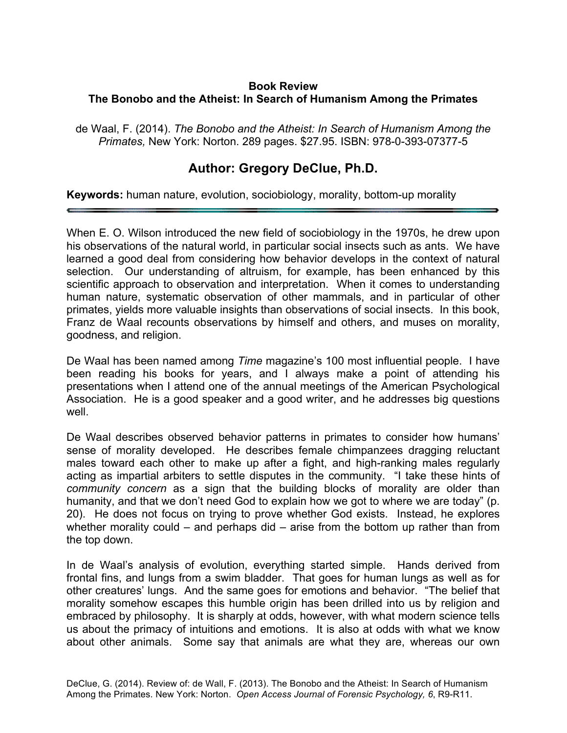## **Book Review The Bonobo and the Atheist: In Search of Humanism Among the Primates**

de Waal, F. (2014). *The Bonobo and the Atheist: In Search of Humanism Among the Primates,* New York: Norton. 289 pages. \$27.95. ISBN: 978-0-393-07377-5

## **Author: Gregory DeClue, Ph.D.**

**Keywords:** human nature, evolution, sociobiology, morality, bottom-up morality

When E. O. Wilson introduced the new field of sociobiology in the 1970s, he drew upon his observations of the natural world, in particular social insects such as ants. We have learned a good deal from considering how behavior develops in the context of natural selection. Our understanding of altruism, for example, has been enhanced by this scientific approach to observation and interpretation. When it comes to understanding human nature, systematic observation of other mammals, and in particular of other primates, yields more valuable insights than observations of social insects. In this book, Franz de Waal recounts observations by himself and others, and muses on morality, goodness, and religion.

De Waal has been named among *Time* magazine's 100 most influential people. I have been reading his books for years, and I always make a point of attending his presentations when I attend one of the annual meetings of the American Psychological Association. He is a good speaker and a good writer, and he addresses big questions well.

De Waal describes observed behavior patterns in primates to consider how humans' sense of morality developed. He describes female chimpanzees dragging reluctant males toward each other to make up after a fight, and high-ranking males regularly acting as impartial arbiters to settle disputes in the community. "I take these hints of *community concern* as a sign that the building blocks of morality are older than humanity, and that we don't need God to explain how we got to where we are today" (p. 20). He does not focus on trying to prove whether God exists. Instead, he explores whether morality could – and perhaps did – arise from the bottom up rather than from the top down.

In de Waal's analysis of evolution, everything started simple. Hands derived from frontal fins, and lungs from a swim bladder. That goes for human lungs as well as for other creatures' lungs. And the same goes for emotions and behavior. "The belief that morality somehow escapes this humble origin has been drilled into us by religion and embraced by philosophy. It is sharply at odds, however, with what modern science tells us about the primacy of intuitions and emotions. It is also at odds with what we know about other animals. Some say that animals are what they are, whereas our own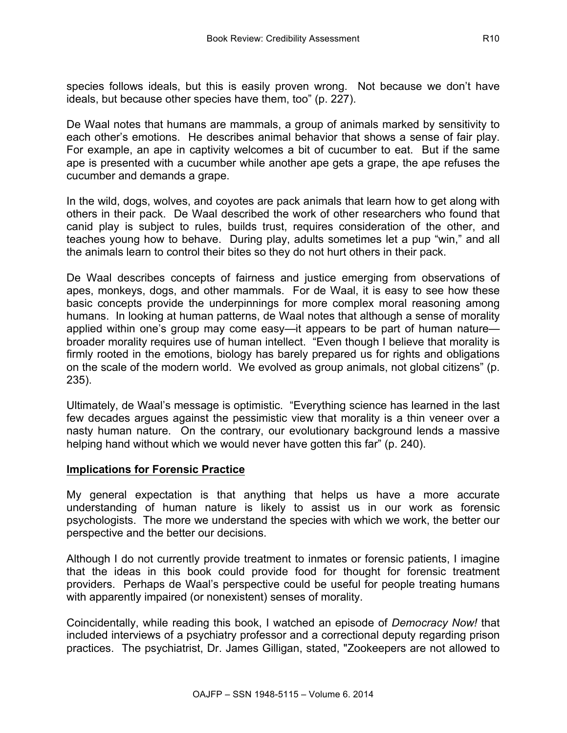species follows ideals, but this is easily proven wrong. Not because we don't have ideals, but because other species have them, too" (p. 227).

De Waal notes that humans are mammals, a group of animals marked by sensitivity to each other's emotions. He describes animal behavior that shows a sense of fair play. For example, an ape in captivity welcomes a bit of cucumber to eat. But if the same ape is presented with a cucumber while another ape gets a grape, the ape refuses the cucumber and demands a grape.

In the wild, dogs, wolves, and coyotes are pack animals that learn how to get along with others in their pack. De Waal described the work of other researchers who found that canid play is subject to rules, builds trust, requires consideration of the other, and teaches young how to behave. During play, adults sometimes let a pup "win," and all the animals learn to control their bites so they do not hurt others in their pack.

De Waal describes concepts of fairness and justice emerging from observations of apes, monkeys, dogs, and other mammals. For de Waal, it is easy to see how these basic concepts provide the underpinnings for more complex moral reasoning among humans. In looking at human patterns, de Waal notes that although a sense of morality applied within one's group may come easy—it appears to be part of human nature broader morality requires use of human intellect. "Even though I believe that morality is firmly rooted in the emotions, biology has barely prepared us for rights and obligations on the scale of the modern world. We evolved as group animals, not global citizens" (p. 235).

Ultimately, de Waal's message is optimistic. "Everything science has learned in the last few decades argues against the pessimistic view that morality is a thin veneer over a nasty human nature. On the contrary, our evolutionary background lends a massive helping hand without which we would never have gotten this far<sup> $\overline{r}$ </sup> (p. 240).

## **Implications for Forensic Practice**

My general expectation is that anything that helps us have a more accurate understanding of human nature is likely to assist us in our work as forensic psychologists. The more we understand the species with which we work, the better our perspective and the better our decisions.

Although I do not currently provide treatment to inmates or forensic patients, I imagine that the ideas in this book could provide food for thought for forensic treatment providers. Perhaps de Waal's perspective could be useful for people treating humans with apparently impaired (or nonexistent) senses of morality.

Coincidentally, while reading this book, I watched an episode of *Democracy Now!* that included interviews of a psychiatry professor and a correctional deputy regarding prison practices. The psychiatrist, Dr. James Gilligan, stated, "Zookeepers are not allowed to